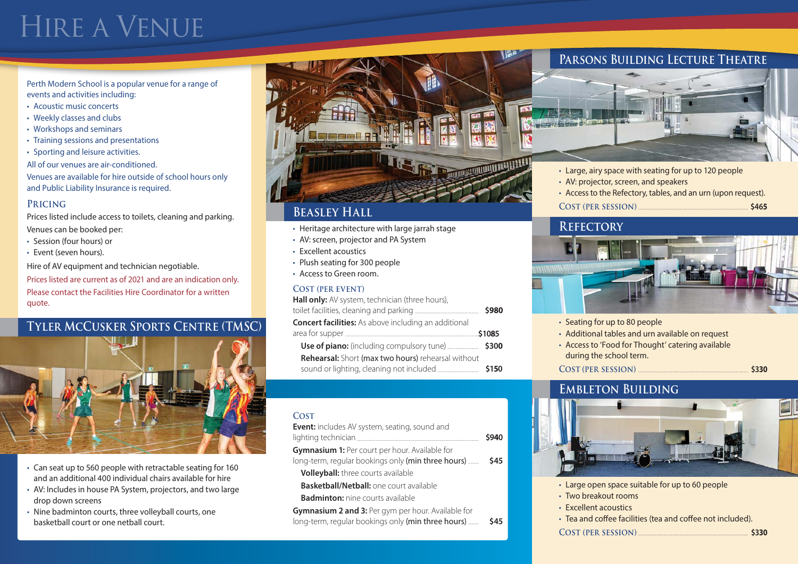# Hire a Venue

Perth Modern School is a popular venue for a range of events and activities including:

- Acoustic music concerts
- Weekly classes and clubs
- Workshops and seminars
- Training sessions and presentations
- Sporting and leisure activities.
- All of our venues are air-conditioned.

Venues are available for hire outside of school hours only and Public Liability Insurance is required.

### **Pricing**

Prices listed include access to toilets, cleaning and parking. Venues can be booked per:

- Session (four hours) or
- Event (seven hours).

Hire of AV equipment and technician negotiable.

Prices listed are current as of 2021 and are an indication only. Please contact the Facilities Hire Coordinator for a written quote.

## **Tyler McCusker Sports Centre (TMSC)**



- Can seat up to 560 people with retractable seating for 160 and an additional 400 individual chairs available for hire
- AV: Includes in house PA System, projectors, and two large drop down screens
- Nine badminton courts, three volleyball courts, one basketball court or one netball court.



### **Beasley Hall**

- Heritage architecture with large jarrah stage
- AV: screen, projector and PA System
- Excellent acoustics
- Plush seating for 300 people
- Access to Green room.

### **Cost (per event)**

**Hall only:** AV system, technician (three hours),

|                                                             | \$980  |
|-------------------------------------------------------------|--------|
| <b>Concert facilities:</b> As above including an additional |        |
|                                                             | \$1085 |
|                                                             |        |
| <b>Rehearsal:</b> Short (max two hours) rehearsal without   |        |

sound or lighting, cleaning not included **\$150**

#### **Cost**

| Event: includes AV system, seating, sound and             |       |
|-----------------------------------------------------------|-------|
|                                                           | \$940 |
| Gymnasium 1: Per court per hour. Available for            |       |
| long-term, regular bookings only (min three hours)        | \$45  |
| <b>Volleyball:</b> three courts available                 |       |
| <b>Basketball/Netball:</b> one court available            |       |
| <b>Badminton:</b> nine courts available                   |       |
| <b>Gymnasium 2 and 3:</b> Per gym per hour. Available for |       |
| long-term, regular bookings only (min three hours)        | \$45  |

### **Parsons Building Lecture Theatre**



- Large, airy space with seating for up to 120 people
- AV: projector, screen, and speakers
- Access to the Refectory, tables, and an urn (upon request).
- **Cost (per session) \$465**

### **Refectory**



- Seating for up to 80 people
- Additional tables and urn available on request
- Access to 'Food for Thought' catering available during the school term.

**Cost (per session) \$330**

### **Embleton Building**



- Large open space suitable for up to 60 people
- Two breakout rooms
- Excellent acoustics
- Tea and coffee facilities (tea and coffee not included).
- **COST (PER SESSION)** <u> **\$330</u></del> \$330</u>**